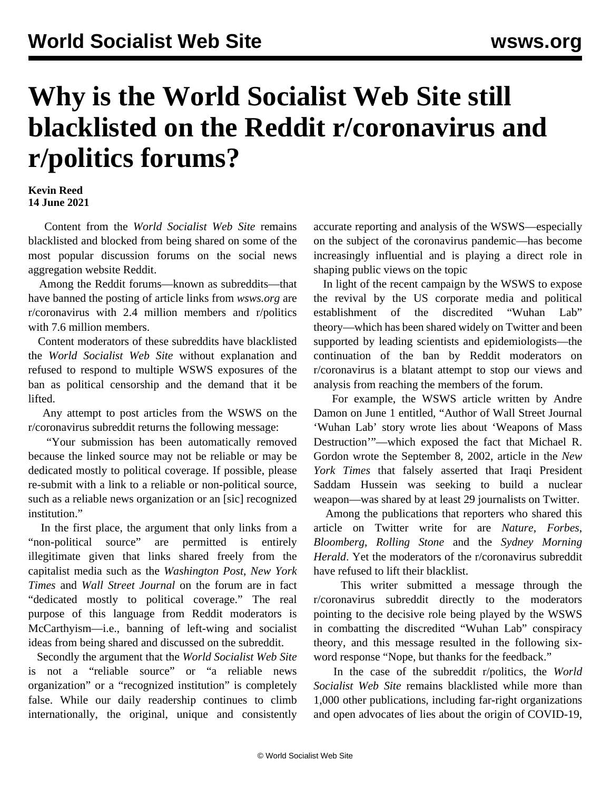## **Why is the World Socialist Web Site still blacklisted on the Reddit r/coronavirus and r/politics forums?**

## **Kevin Reed 14 June 2021**

 Content from the *World Socialist Web Site* remains blacklisted and blocked from being shared on some of the most popular discussion forums on the social news aggregation website Reddit.

 Among the Reddit forums—known as subreddits—that have banned the posting of article links from *wsws.org* are r/coronavirus with 2.4 million members and r/politics with 7.6 million members.

 Content moderators of these subreddits have blacklisted the *World Socialist Web Site* without explanation and refused to respond to multiple WSWS exposures of the ban as political censorship and the demand that it be lifted.

 Any attempt to post articles from the WSWS on the r/coronavirus subreddit returns the following message:

 "Your submission has been automatically removed because the linked source may not be reliable or may be dedicated mostly to political coverage. If possible, please re-submit with a link to a reliable or non-political source, such as a reliable news organization or an [sic] recognized institution."

 In the first place, the argument that only links from a "non-political source" are permitted is entirely illegitimate given that links shared freely from the capitalist media such as the *Washington Post*, *New York Times* and *Wall Street Journal* on the forum are in fact "dedicated mostly to political coverage." The real purpose of this language from Reddit moderators is McCarthyism—i.e., banning of left-wing and socialist ideas from being shared and discussed on the subreddit.

 Secondly the argument that the *World Socialist Web Site* is not a "reliable source" or "a reliable news organization" or a "recognized institution" is completely false. While our daily readership continues to climb internationally, the original, unique and consistently

accurate reporting and analysis of the WSWS—especially on the subject of the coronavirus pandemic—has become increasingly influential and is playing a direct role in shaping public views on the topic

 In light of the recent campaign by the WSWS to expose the revival by the US corporate media and political establishment of the discredited "Wuhan Lab" theory—which has been shared widely on Twitter and been supported by leading scientists and epidemiologists—the continuation of the ban by Reddit moderators on r/coronavirus is a blatant attempt to stop our views and analysis from reaching the members of the forum.

 For example, the WSWS article written by Andre Damon on June 1 entitled, "Author of Wall Street Journal 'Wuhan Lab' story wrote lies about 'Weapons of Mass Destruction'"—which exposed the fact that Michael R. Gordon wrote the September 8, 2002, article in the *New York Times* that falsely asserted that Iraqi President Saddam Hussein was seeking to build a nuclear weapon—was shared by at least 29 journalists on Twitter.

 Among the publications that reporters who shared this article on Twitter write for are *Nature*, *Forbes*, *Bloomberg*, *Rolling Stone* and the *Sydney Morning Herald*. Yet the moderators of the r/coronavirus subreddit have refused to lift their blacklist.

 This writer submitted a message through the r/coronavirus subreddit directly to the moderators pointing to the decisive role being played by the WSWS in combatting the discredited "Wuhan Lab" conspiracy theory, and this message resulted in the following sixword response ["Nope, but thanks for the feedback.](https://click.redditmail.com/CL0/https:%2F%2Fwww.reddit.com%2Fmessage%2Fmessages%2F12bcqg2%3F$deep_link=true%26correlation_id=f8b99e1b-43b3-4782-ada7-05009ef0dfe5%26ref=email_private_message%26ref_campaign=email_private_message%26ref_source=email/1/01000179f40d6497-eb513221-f7b9-413c-a24f-293a2e7b29d0-000000/1RvYl7PdIEfbmPEkWn8PRSayG4RsubXIUyOMBPSJW5M=197)"

 In the case of the subreddit r/politics, the *World Socialist Web Site* remains blacklisted while more than 1,000 other publications, including far-right organizations and open advocates of lies about the origin of COVID-19,